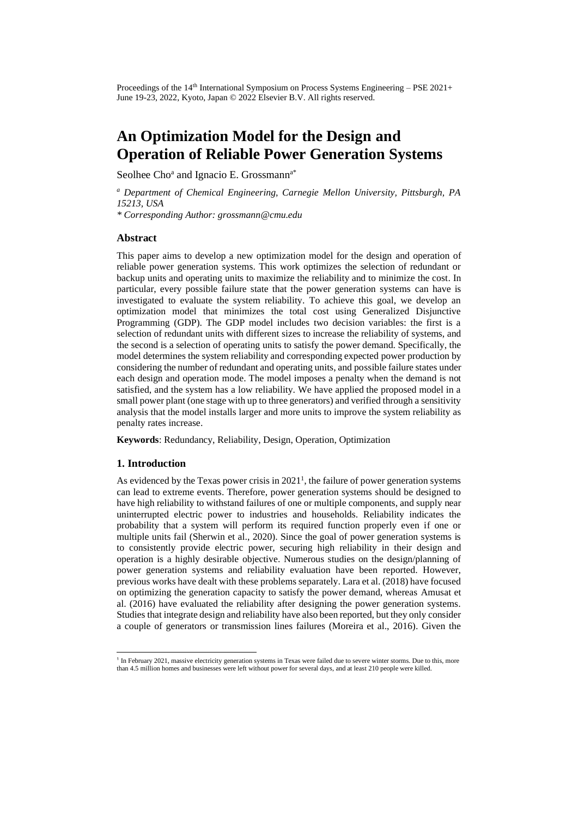Proceedings of the 14<sup>th</sup> International Symposium on Process Systems Engineering – PSE 2021+ June 19-23, 2022, Kyoto, Japan © 2022 Elsevier B.V. All rights reserved.

# **An Optimization Model for the Design and Operation of Reliable Power Generation Systems**

Seolhee Cho<sup>a</sup> and Ignacio E. Grossmann<sup>a\*</sup>

*<sup>a</sup> Department of Chemical Engineering, Carnegie Mellon University, Pittsburgh, PA 15213, USA*

*\* Corresponding Author: grossmann@cmu.edu*

## **Abstract**

This paper aims to develop a new optimization model for the design and operation of reliable power generation systems. This work optimizes the selection of redundant or backup units and operating units to maximize the reliability and to minimize the cost. In particular, every possible failure state that the power generation systems can have is investigated to evaluate the system reliability. To achieve this goal, we develop an optimization model that minimizes the total cost using Generalized Disjunctive Programming (GDP). The GDP model includes two decision variables: the first is a selection of redundant units with different sizes to increase the reliability of systems, and the second is a selection of operating units to satisfy the power demand. Specifically, the model determines the system reliability and corresponding expected power production by considering the number of redundant and operating units, and possible failure states under each design and operation mode. The model imposes a penalty when the demand is not satisfied, and the system has a low reliability. We have applied the proposed model in a small power plant (one stage with up to three generators) and verified through a sensitivity analysis that the model installs larger and more units to improve the system reliability as penalty rates increase.

**Keywords**: Redundancy, Reliability, Design, Operation, Optimization

## **1. Introduction**

As evidenced by the Texas power crisis in  $2021<sup>1</sup>$ , the failure of power generation systems can lead to extreme events. Therefore, power generation systems should be designed to have high reliability to withstand failures of one or multiple components, and supply near uninterrupted electric power to industries and households. Reliability indicates the probability that a system will perform its required function properly even if one or multiple units fail (Sherwin et al., 2020). Since the goal of power generation systems is to consistently provide electric power, securing high reliability in their design and operation is a highly desirable objective. Numerous studies on the design/planning of power generation systems and reliability evaluation have been reported. However, previous works have dealt with these problems separately. Lara et al. (2018) have focused on optimizing the generation capacity to satisfy the power demand, whereas Amusat et al. (2016) have evaluated the reliability after designing the power generation systems. Studies that integrate design and reliability have also been reported, but they only consider a couple of generators or transmission lines failures (Moreira et al., 2016). Given the

<sup>1</sup> In February 2021, massive electricity generation systems in Texas were failed due to severe winter storms. Due to this, more than 4.5 million homes and businesses were left without power for several days, and at least 210 people were killed.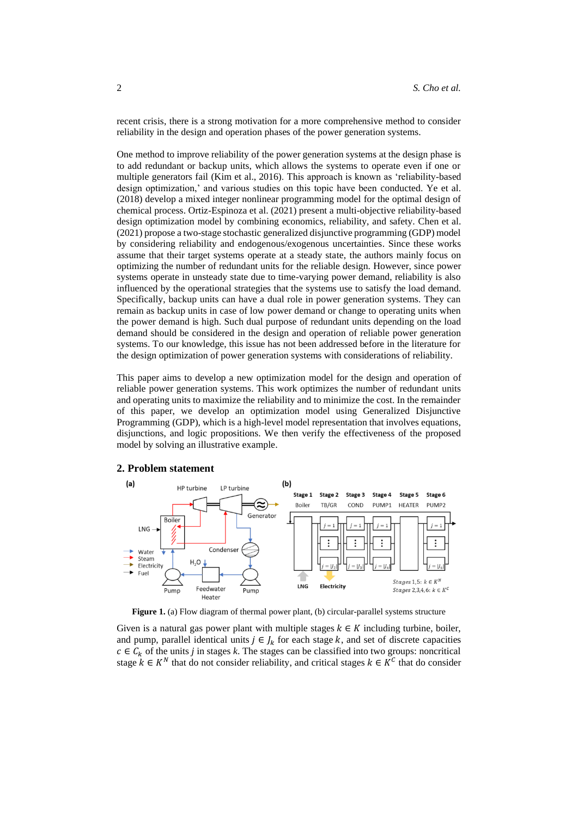recent crisis, there is a strong motivation for a more comprehensive method to consider reliability in the design and operation phases of the power generation systems.

One method to improve reliability of the power generation systems at the design phase is to add redundant or backup units, which allows the systems to operate even if one or multiple generators fail (Kim et al., 2016). This approach is known as 'reliability-based design optimization,' and various studies on this topic have been conducted. Ye et al. (2018) develop a mixed integer nonlinear programming model for the optimal design of chemical process. Ortiz-Espinoza et al. (2021) present a multi-objective reliability-based design optimization model by combining economics, reliability, and safety. Chen et al. (2021) propose a two-stage stochastic generalized disjunctive programming (GDP) model by considering reliability and endogenous/exogenous uncertainties. Since these works assume that their target systems operate at a steady state, the authors mainly focus on optimizing the number of redundant units for the reliable design. However, since power systems operate in unsteady state due to time-varying power demand, reliability is also influenced by the operational strategies that the systems use to satisfy the load demand. Specifically, backup units can have a dual role in power generation systems. They can remain as backup units in case of low power demand or change to operating units when the power demand is high. Such dual purpose of redundant units depending on the load demand should be considered in the design and operation of reliable power generation systems. To our knowledge, this issue has not been addressed before in the literature for the design optimization of power generation systems with considerations of reliability.

This paper aims to develop a new optimization model for the design and operation of reliable power generation systems. This work optimizes the number of redundant units and operating units to maximize the reliability and to minimize the cost. In the remainder of this paper, we develop an optimization model using Generalized Disjunctive Programming (GDP), which is a high-level model representation that involves equations, disjunctions, and logic propositions. We then verify the effectiveness of the proposed model by solving an illustrative example.

#### **2. Problem statement**



**Figure 1.** (a) Flow diagram of thermal power plant, (b) circular-parallel systems structure

Given is a natural gas power plant with multiple stages  $k \in K$  including turbine, boiler, and pump, parallel identical units  $j \in J_k$  for each stage k, and set of discrete capacities  $c \in C_k$  of the units *j* in stages *k*. The stages can be classified into two groups: noncritical stage  $k \in K^N$  that do not consider reliability, and critical stages  $k \in K^C$  that do consider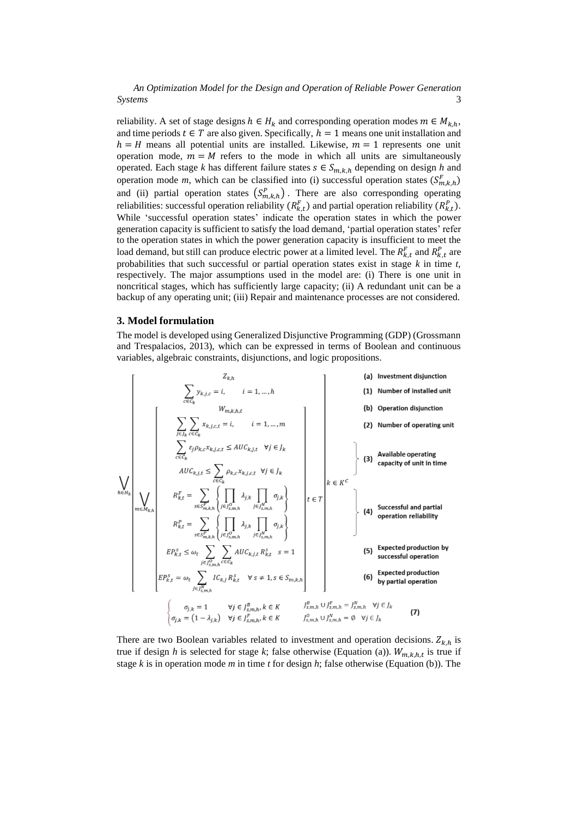*An Optimization Model for the Design and Operation of Reliable Power Generation Systems* 3

reliability. A set of stage designs  $h \in H_k$  and corresponding operation modes  $m \in M_{k,h}$ , and time periods  $t \in T$  are also given. Specifically,  $h = 1$  means one unit installation and  $h = H$  means all potential units are installed. Likewise,  $m = 1$  represents one unit operation mode,  $m = M$  refers to the mode in which all units are simultaneously operated. Each stage *k* has different failure states  $s \in S_{m,k,h}$  depending on design *h* and operation mode *m*, which can be classified into (i) successful operation states  $(S_{m,k,h}^F)$ and (ii) partial operation states  $(S_{m,k,h}^P)$ . There are also corresponding operating reliabilities: successful operation reliability  $(R_{k,t}^F)$  and partial operation reliability  $(R_{k,t}^P)$ . While 'successful operation states' indicate the operation states in which the power generation capacity is sufficient to satisfy the load demand, 'partial operation states' refer to the operation states in which the power generation capacity is insufficient to meet the load demand, but still can produce electric power at a limited level. The  $R_{k,t}^F$  and  $R_{k,t}^P$  are probabilities that such successful or partial operation states exist in stage *k* in time *t,* respectively. The major assumptions used in the model are: (i) There is one unit in noncritical stages, which has sufficiently large capacity; (ii) A redundant unit can be a backup of any operating unit; (iii) Repair and maintenance processes are not considered.

#### **3. Model formulation**

The model is developed using Generalized Disjunctive Programming (GDP) (Grossmann and Trespalacios, 2013), which can be expressed in terms of Boolean and continuous variables, algebraic constraints, disjunctions, and logic propositions.



true if design *h* is selected for stage *k*; false otherwise (Equation (a)).  $W_{m,k,h,t}$  is true if stage *k* is in operation mode *m* in time *t* for design *h*; false otherwise (Equation (b)). The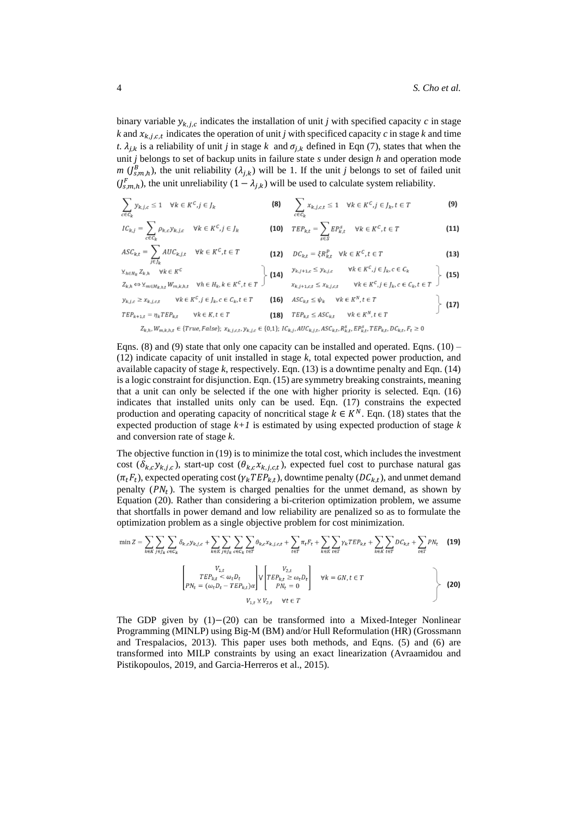binary variable  $y_{k,j,c}$  indicates the installation of unit *j* with specified capacity *c* in stage  $k$  and  $x_{k,j,c,t}$  indicates the operation of unit *j* with specificed capacity *c* in stage  $k$  and time *t*.  $\lambda_{j,k}$  is a reliability of unit *j* in stage *k* and  $\sigma_{j,k}$  defined in Eqn (7), states that when the unit *j* belongs to set of backup units in failure state *s* under design *h* and operation mode *m* ( $J_{s,m,h}^B$ ), the unit reliability ( $\lambda_{j,k}$ ) will be 1. If the unit *j* belongs to set of failed unit  $(J_{s,m,h}^F)$ , the unit unreliability  $(1 - \lambda_{j,k})$  will be used to calculate system reliability.

$$
\sum_{c \in C_k} y_{k,j,c} \le 1 \quad \forall k \in K^C, j \in J_k
$$
\n
$$
\textbf{(8)} \qquad \sum_{c \in C_k} x_{k,j,c,t} \le 1 \quad \forall k \in K^C, j \in J_k, t \in T
$$
\n
$$
\textbf{(9)}
$$

$$
IC_{k,j} = \sum_{c \in C_k} \rho_{k,c} y_{k,j,c} \quad \forall k \in K^C, j \in J_k
$$
\n
$$
\textbf{(10)} \quad TEP_{k,t} = \sum_{s \in S} EP_{k,t}^s \quad \forall k \in K^C, t \in T
$$
\n
$$
\textbf{(11)}
$$

$$
ASC_{k,t} = \sum_{j \in J_k} AUC_{k,j,t} \quad \forall k \in K^C, t \in T
$$
\n
$$
\textbf{(12)} \quad DC_{k,t} = \xi R_{k,t}^P \quad \forall k \in K^C, t \in T
$$
\n
$$
\textbf{(13)}
$$

$$
\sum_{k \in H_k} Z_{k,h} \quad \forall k \in K^c
$$
\n
$$
Z_{k,h} \Leftrightarrow \sum_{m \in M_{k,h,t}} W_{m,k,h,t} \quad \forall h \in H_k, k \in K^c, t \in T
$$
\n
$$
\left\{\n\begin{array}{ll}\n\text{(14)} & \sum_{k,j+1,c \leq x_{k,j,c,t}} W_{k} \in K^c, j \in J_k, c \in C_k \\
x_{k,j+1,c,t} \leq x_{k,j,c,t} & \forall k \in K^c, j \in J_k, c \in C_k, t \in T\n\end{array}\n\right\} \quad \text{(15)}
$$

$$
\begin{aligned}\n y_{k,j,c} &\ge x_{k,j,c,t} &\quad \forall k \in K^C, j \in J_k, c \in C_k, t \in T \\
 &\text{TEP}_{k+1,t} &= \eta_k T E P_{k,t} &\quad \forall k \in K, t \in T\n \end{aligned}\n \quad\n \begin{aligned}\n \text{(17)} \quad\n 4SC_{k,t} \le \psi_k &\quad \forall k \in K^N, t \in T \\
 \text{(18)} \quad\n 7EP_{k,t} \le ASC_{k,t} &\quad \forall k \in K^N, t \in T\n \end{aligned}
$$

 $Z_{k,h}, W_{m,k,h,t} \in \{True, False\}; x_{k,j,c,t}, y_{k,j,c} \in \{0,1\}; IC_{k,j}, AUC_{k,j,t}, ASC_{k,t}, R_{k,t}^s, EF_{k,t}^s, TEP_{k,t}, DC_{k,t}, F_t \geq 0$ 

Eqns. (8) and (9) state that only one capacity can be installed and operated. Eqns. (10) – (12) indicate capacity of unit installed in stage *k*, total expected power production, and available capacity of stage *k*, respectively. Eqn. (13) is a downtime penalty and Eqn. (14) is a logic constraint for disjunction. Eqn. (15) are symmetry breaking constraints, meaning that a unit can only be selected if the one with higher priority is selected. Eqn. (16) indicates that installed units only can be used. Eqn. (17) constrains the expected production and operating capacity of noncritical stage  $k \in K^N$ . Eqn. (18) states that the expected production of stage *k+1* is estimated by using expected production of stage *k* and conversion rate of stage *k*.

The objective function in (19) is to minimize the total cost, which includes the investment cost  $(\delta_{k,c}y_{k,j,c})$ , start-up cost  $(\theta_{k,c}x_{k,j,c,t})$ , expected fuel cost to purchase natural gas  $(\pi_t F_t)$ , expected operating cost  $(\gamma_k T E P_{k,t})$ , downtime penalty  $(D C_{k,t})$ , and unmet demand penalty  $(PN_t)$ . The system is charged penalties for the unmet demand, as shown by Equation (20). Rather than considering a bi-criterion optimization problem, we assume that shortfalls in power demand and low reliability are penalized so as to formulate the optimization problem as a single objective problem for cost minimization.

$$
\min Z = \sum_{k \in K} \sum_{j \in J_k} \sum_{c \in C_k} \delta_{k,c} y_{k,j,c} + \sum_{k \in K} \sum_{j \in J_k} \sum_{c \in C_k} \sum_{t \in T} \theta_{k,c} x_{k,j,c,t} + \sum_{t \in T} \pi_t F_t + \sum_{k \in K} \sum_{t \in T} \gamma_k T E P_{k,t} + \sum_{k \in K} \sum_{t \in T} DC_{k,t} + \sum_{t \in T} PN_t
$$
(19)

$$
\begin{bmatrix}\nV_{1,t} \\
TEP_{k,t} < \omega_t D_t \\
PN_t = (\omega_t D_t - TEP_{k,t})\alpha\n\end{bmatrix}\n\vee\n\begin{bmatrix}\nV_{2,t} \\
TEP_{k,t} \ge \omega_t D_t \\
PN_t = 0\n\end{bmatrix}\n\quad\n\forall k = GN, t \in T
$$
\n
$$
V_{1,t} \vee V_{2,t} \quad\n\forall t \in T
$$
\n(20)

The GDP given by (1)−(20) can be transformed into a Mixed-Integer Nonlinear Programming (MINLP) using Big-M (BM) and/or Hull Reformulation (HR) (Grossmann and Trespalacios, 2013). This paper uses both methods, and Eqns. (5) and (6) are transformed into MILP constraints by using an exact linearization (Avraamidou and Pistikopoulos, 2019, and Garcia-Herreros et al., 2015).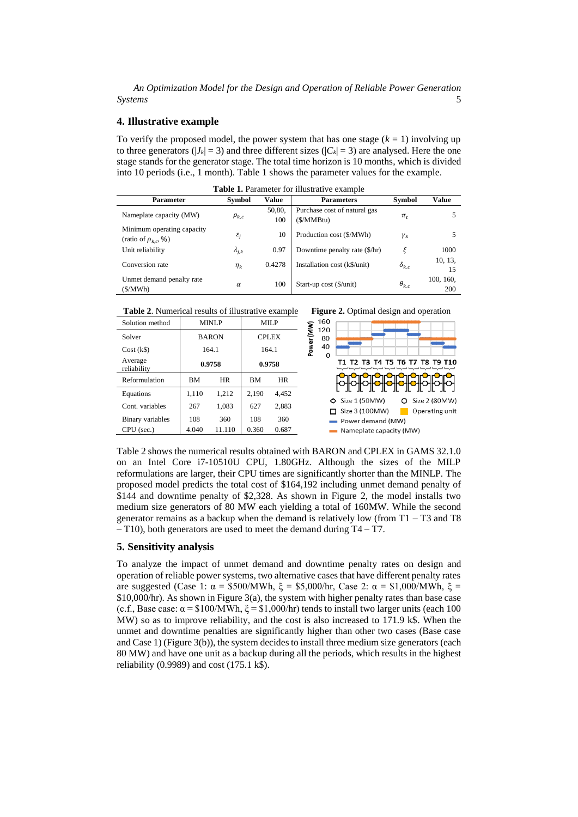*An Optimization Model for the Design and Operation of Reliable Power Generation Systems* 5

## **4. Illustrative example**

To verify the proposed model, the power system that has one stage  $(k = 1)$  involving up to three generators ( $|J_k| = 3$ ) and three different sizes ( $|C_k| = 3$ ) are analysed. Here the one stage stands for the generator stage. The total time horizon is 10 months, which is divided into 10 periods (i.e., 1 month). Table 1 shows the parameter values for the example.

| <b>Table 1.</b> Parameter for illustrative example        |                 |               |                                           |                |                  |  |  |  |
|-----------------------------------------------------------|-----------------|---------------|-------------------------------------------|----------------|------------------|--|--|--|
| <b>Parameter</b>                                          | <b>Symbol</b>   | Value         | <b>Parameters</b>                         | <b>Symbol</b>  | Value            |  |  |  |
| Nameplate capacity (MW)                                   | $\rho_{k,c}$    | 50,80,<br>100 | Purchase cost of natural gas<br>(S/MMBtu) | $\pi_{t}$      |                  |  |  |  |
| Minimum operating capacity<br>(ratio of $\rho_{k,c}$ , %) | $\varepsilon_i$ | 10            | Production cost (\$/MWh)                  | $\gamma_k$     |                  |  |  |  |
| Unit reliability                                          | $\lambda_{j,k}$ | 0.97          | Downtime penalty rate (\$/hr)             | ξ              | 1000             |  |  |  |
| Conversion rate                                           | $\eta_k$        | 0.4278        | Installation cost (k\$/unit)              | $\delta_{k.c}$ | 10, 13,<br>15    |  |  |  |
| Unmet demand penalty rate<br>(S/MWh)                      | $\alpha$        | 100           | Start-up cost (\$/unit)                   | $\theta_{k.c}$ | 100, 160,<br>200 |  |  |  |

**Table 1.** Perspected for illustrative



| Solution method         |           | <b>MINLP</b> | MILP         |       | 160<br>120      |
|-------------------------|-----------|--------------|--------------|-------|-----------------|
| Solver                  |           | <b>BARON</b> | <b>CPLEX</b> |       | Power (MW<br>80 |
| $Cost (k\$              | 164.1     |              | 164.1        |       | 40<br>0         |
| Average<br>reliability  | 0.9758    |              | 0.9758       |       |                 |
| Reformulation           | <b>BM</b> | <b>HR</b>    | <b>BM</b>    | HR    |                 |
| Equations               | 1,110     | 1,212        | 2,190        | 4,452 | ◇               |
| Cont. variables         | 267       | 1,083        | 627          | 2,883 | ⊏               |
| <b>Binary</b> variables | 108       | 360          | 108          | 360   | ٠               |
| CPU (sec.)              | 4.040     | 11.110       | 0.360        | 0.687 |                 |





Table 2 shows the numerical results obtained with BARON and CPLEX in GAMS 32.1.0 on an Intel Core i7-10510U CPU, 1.80GHz. Although the sizes of the MILP reformulations are larger, their CPU times are significantly shorter than the MINLP. The proposed model predicts the total cost of \$164,192 including unmet demand penalty of \$144 and downtime penalty of \$2,328. As shown in Figure 2, the model installs two medium size generators of 80 MW each yielding a total of 160MW. While the second generator remains as a backup when the demand is relatively low (from T1 – T3 and T8 – T10), both generators are used to meet the demand during T4 – T7.

## **5. Sensitivity analysis**

To analyze the impact of unmet demand and downtime penalty rates on design and operation of reliable power systems, two alternative cases that have different penalty rates are suggested (Case 1: α = \$500/MWh, ξ = \$5,000/hr, Case 2: α = \$1,000/MWh, ξ = \$10,000/hr). As shown in Figure 3(a), the system with higher penalty rates than base case (c.f., Base case:  $\alpha = \$100/MWh$ ,  $\xi = \$1,000/hr$ ) tends to install two larger units (each 100 MW) so as to improve reliability, and the cost is also increased to 171.9 k\$. When the unmet and downtime penalties are significantly higher than other two cases (Base case and Case 1) (Figure 3(b)), the system decides to install three medium size generators (each 80 MW) and have one unit as a backup during all the periods, which results in the highest reliability (0.9989) and cost (175.1 k\$).